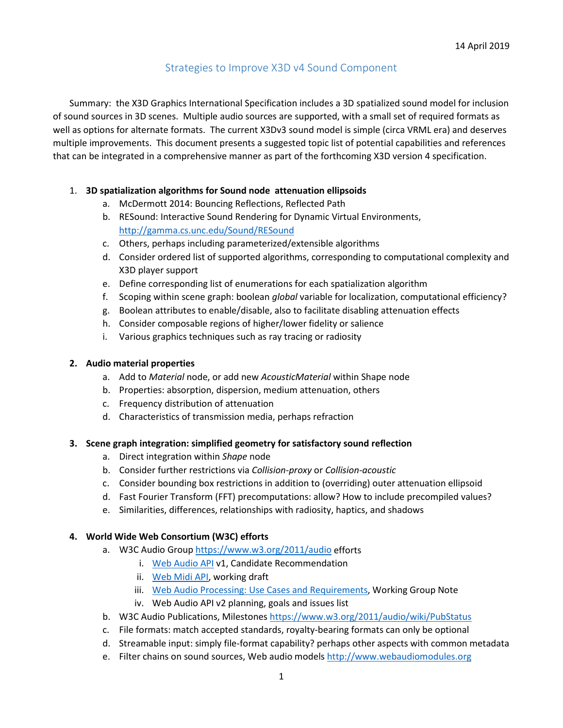# Strategies to Improve X3D v4 Sound Component

Summary: the X3D Graphics International Specification includes a 3D spatialized sound model for inclusion of sound sources in 3D scenes. Multiple audio sources are supported, with a small set of required formats as well as options for alternate formats. The current X3Dv3 sound model is simple (circa VRML era) and deserves multiple improvements. This document presents a suggested topic list of potential capabilities and references that can be integrated in a comprehensive manner as part of the forthcoming X3D version 4 specification.

### 1. **3D spatialization algorithms for Sound node attenuation ellipsoids**

- a. McDermott 2014: Bouncing Reflections, Reflected Path
- b. RESound: Interactive Sound Rendering for Dynamic Virtual Environments, <http://gamma.cs.unc.edu/Sound/RESound>
- c. Others, perhaps including parameterized/extensible algorithms
- d. Consider ordered list of supported algorithms, corresponding to computational complexity and X3D player support
- e. Define corresponding list of enumerations for each spatialization algorithm
- f. Scoping within scene graph: boolean *global* variable for localization, computational efficiency?
- g. Boolean attributes to enable/disable, also to facilitate disabling attenuation effects
- h. Consider composable regions of higher/lower fidelity or salience
- i. Various graphics techniques such as ray tracing or radiosity

#### **2. Audio material properties**

- a. Add to *Material* node, or add new *AcousticMaterial* within Shape node
- b. Properties: absorption, dispersion, medium attenuation, others
- c. Frequency distribution of attenuation
- d. Characteristics of transmission media, perhaps refraction

#### **3. Scene graph integration: simplified geometry for satisfactory sound reflection**

- a. Direct integration within *Shape* node
- b. Consider further restrictions via *Collision-proxy* or *Collision-acoustic*
- c. Consider bounding box restrictions in addition to (overriding) outer attenuation ellipsoid
- d. Fast Fourier Transform (FFT) precomputations: allow? How to include precompiled values?
- e. Similarities, differences, relationships with radiosity, haptics, and shadows

#### **4. World Wide Web Consortium (W3C) efforts**

- a. W3C Audio Group <https://www.w3.org/2011/audio> efforts
	- i. [Web Audio API](http://www.w3.org/TR/webaudio/) v1, Candidate Recommendation
	- ii. [Web Midi API,](https://www.w3.org/TR/webmidi) working draft
	- iii. [Web Audio Processing: Use Cases and Requirements,](https://www.w3.org/TR/webaudio-usecases) Working Group Note
	- iv. Web Audio API v2 planning, goals and issues list
- b. W3C Audio Publications, Milestones <https://www.w3.org/2011/audio/wiki/PubStatus>
- c. File formats: match accepted standards, royalty-bearing formats can only be optional
- d. Streamable input: simply file-format capability? perhaps other aspects with common metadata
- e. Filter chains on sound sources, Web audio model[s http://www.webaudiomodules.org](http://www.webaudiomodules.org/)